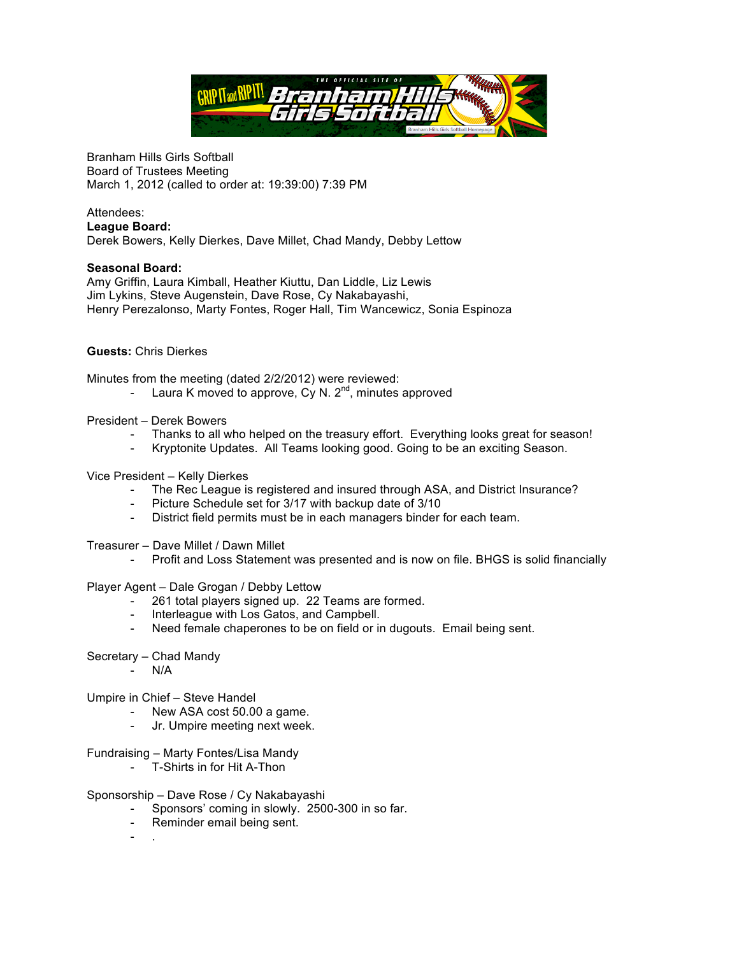

Branham Hills Girls Softball Board of Trustees Meeting March 1, 2012 (called to order at: 19:39:00) 7:39 PM

## Attendees: **League Board:**

Derek Bowers, Kelly Dierkes, Dave Millet, Chad Mandy, Debby Lettow

## **Seasonal Board:**

Amy Griffin, Laura Kimball, Heather Kiuttu, Dan Liddle, Liz Lewis Jim Lykins, Steve Augenstein, Dave Rose, Cy Nakabayashi, Henry Perezalonso, Marty Fontes, Roger Hall, Tim Wancewicz, Sonia Espinoza

## **Guests:** Chris Dierkes

Minutes from the meeting (dated 2/2/2012) were reviewed:

- Laura K moved to approve, Cy N.  $2^{nd}$ , minutes approved
- President Derek Bowers
	- Thanks to all who helped on the treasury effort. Everything looks great for season!
	- Kryptonite Updates. All Teams looking good. Going to be an exciting Season.
- Vice President Kelly Dierkes
	- The Rec League is registered and insured through ASA, and District Insurance?
	- Picture Schedule set for 3/17 with backup date of 3/10
	- District field permits must be in each managers binder for each team.
- Treasurer Dave Millet / Dawn Millet
	- Profit and Loss Statement was presented and is now on file. BHGS is solid financially

Player Agent – Dale Grogan / Debby Lettow

- 261 total players signed up. 22 Teams are formed.
- Interleague with Los Gatos, and Campbell.
- Need female chaperones to be on field or in dugouts. Email being sent.
- Secretary Chad Mandy
	- N/A

Umpire in Chief – Steve Handel

- New ASA cost 50.00 a game.
- Jr. Umpire meeting next week.

## Fundraising – Marty Fontes/Lisa Mandy

- T-Shirts in for Hit A-Thon
- Sponsorship Dave Rose / Cy Nakabayashi
	- Sponsors' coming in slowly. 2500-300 in so far.
	- Reminder email being sent.
	- .